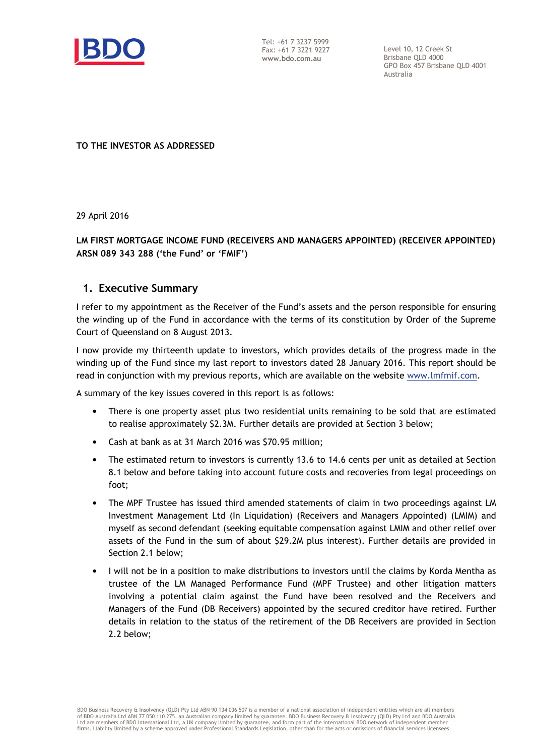

Tel: +61 7 3237 5999 Fax: +61 7 3221 9227 www.bdo.com.au

Level 10, 12 Creek St Brisbane QLD 4000 GPO Box 457 Brisbane QLD 4001 Australia

TO THE INVESTOR AS ADDRESSED

29 April 2016

## LM FIRST MORTGAGE INCOME FUND (RECEIVERS AND MANAGERS APPOINTED) (RECEIVER APPOINTED) ARSN 089 343 288 ('the Fund' or 'FMIF')

## 1. Executive Summary

I refer to my appointment as the Receiver of the Fund's assets and the person responsible for ensuring the winding up of the Fund in accordance with the terms of its constitution by Order of the Supreme Court of Queensland on 8 August 2013.

I now provide my thirteenth update to investors, which provides details of the progress made in the winding up of the Fund since my last report to investors dated 28 January 2016. This report should be read in conjunction with my previous reports, which are available on the website www.lmfmif.com.

A summary of the key issues covered in this report is as follows:

- There is one property asset plus two residential units remaining to be sold that are estimated to realise approximately \$2.3M. Further details are provided at Section 3 below;
- Cash at bank as at 31 March 2016 was \$70.95 million;
- The estimated return to investors is currently 13.6 to 14.6 cents per unit as detailed at Section 8.1 below and before taking into account future costs and recoveries from legal proceedings on foot;
- The MPF Trustee has issued third amended statements of claim in two proceedings against LM Investment Management Ltd (In Liquidation) (Receivers and Managers Appointed) (LMIM) and myself as second defendant (seeking equitable compensation against LMIM and other relief over assets of the Fund in the sum of about \$29.2M plus interest). Further details are provided in Section 2.1 below;
- I will not be in a position to make distributions to investors until the claims by Korda Mentha as trustee of the LM Managed Performance Fund (MPF Trustee) and other litigation matters involving a potential claim against the Fund have been resolved and the Receivers and Managers of the Fund (DB Receivers) appointed by the secured creditor have retired. Further details in relation to the status of the retirement of the DB Receivers are provided in Section 2.2 below;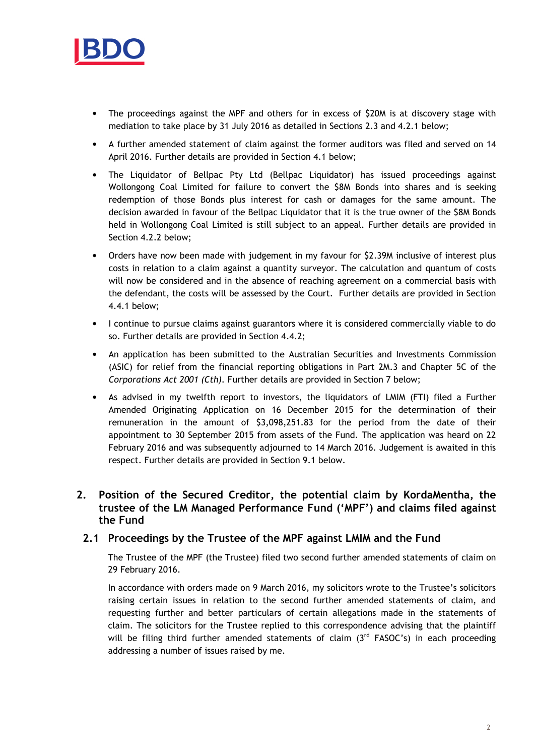

- The proceedings against the MPF and others for in excess of \$20M is at discovery stage with mediation to take place by 31 July 2016 as detailed in Sections 2.3 and 4.2.1 below;
- A further amended statement of claim against the former auditors was filed and served on 14 April 2016. Further details are provided in Section 4.1 below;
- The Liquidator of Bellpac Pty Ltd (Bellpac Liquidator) has issued proceedings against Wollongong Coal Limited for failure to convert the \$8M Bonds into shares and is seeking redemption of those Bonds plus interest for cash or damages for the same amount. The decision awarded in favour of the Bellpac Liquidator that it is the true owner of the \$8M Bonds held in Wollongong Coal Limited is still subject to an appeal. Further details are provided in Section 4.2.2 below;
- Orders have now been made with judgement in my favour for \$2.39M inclusive of interest plus costs in relation to a claim against a quantity surveyor. The calculation and quantum of costs will now be considered and in the absence of reaching agreement on a commercial basis with the defendant, the costs will be assessed by the Court. Further details are provided in Section 4.4.1 below;
- I continue to pursue claims against guarantors where it is considered commercially viable to do so. Further details are provided in Section 4.4.2;
- An application has been submitted to the Australian Securities and Investments Commission (ASIC) for relief from the financial reporting obligations in Part 2M.3 and Chapter 5C of the Corporations Act 2001 (Cth). Further details are provided in Section 7 below;
- As advised in my twelfth report to investors, the liquidators of LMIM (FTI) filed a Further Amended Originating Application on 16 December 2015 for the determination of their remuneration in the amount of \$3,098,251.83 for the period from the date of their appointment to 30 September 2015 from assets of the Fund. The application was heard on 22 February 2016 and was subsequently adjourned to 14 March 2016. Judgement is awaited in this respect. Further details are provided in Section 9.1 below.

# 2. Position of the Secured Creditor, the potential claim by KordaMentha, the trustee of the LM Managed Performance Fund ('MPF') and claims filed against the Fund

## 2.1 Proceedings by the Trustee of the MPF against LMIM and the Fund

The Trustee of the MPF (the Trustee) filed two second further amended statements of claim on 29 February 2016.

In accordance with orders made on 9 March 2016, my solicitors wrote to the Trustee's solicitors raising certain issues in relation to the second further amended statements of claim, and requesting further and better particulars of certain allegations made in the statements of claim. The solicitors for the Trustee replied to this correspondence advising that the plaintiff will be filing third further amended statements of claim  $3^{rd}$  FASOC's) in each proceeding addressing a number of issues raised by me.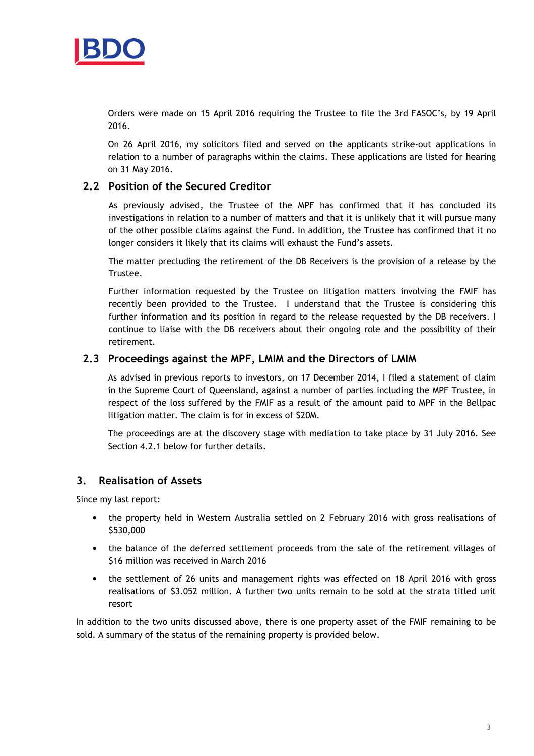

Orders were made on 15 April 2016 requiring the Trustee to file the 3rd FASOC's, by 19 April 2016.

On 26 April 2016, my solicitors filed and served on the applicants strike-out applications in relation to a number of paragraphs within the claims. These applications are listed for hearing on 31 May 2016.

## 2.2 Position of the Secured Creditor

As previously advised, the Trustee of the MPF has confirmed that it has concluded its investigations in relation to a number of matters and that it is unlikely that it will pursue many of the other possible claims against the Fund. In addition, the Trustee has confirmed that it no longer considers it likely that its claims will exhaust the Fund's assets.

The matter precluding the retirement of the DB Receivers is the provision of a release by the Trustee.

Further information requested by the Trustee on litigation matters involving the FMIF has recently been provided to the Trustee. I understand that the Trustee is considering this further information and its position in regard to the release requested by the DB receivers. I continue to liaise with the DB receivers about their ongoing role and the possibility of their retirement.

## 2.3 Proceedings against the MPF, LMIM and the Directors of LMIM

As advised in previous reports to investors, on 17 December 2014, I filed a statement of claim in the Supreme Court of Queensland, against a number of parties including the MPF Trustee, in respect of the loss suffered by the FMIF as a result of the amount paid to MPF in the Bellpac litigation matter. The claim is for in excess of \$20M.

The proceedings are at the discovery stage with mediation to take place by 31 July 2016. See Section 4.2.1 below for further details.

# 3. Realisation of Assets

Since my last report:

- the property held in Western Australia settled on 2 February 2016 with gross realisations of \$530,000
- the balance of the deferred settlement proceeds from the sale of the retirement villages of \$16 million was received in March 2016
- the settlement of 26 units and management rights was effected on 18 April 2016 with gross realisations of \$3.052 million. A further two units remain to be sold at the strata titled unit resort

In addition to the two units discussed above, there is one property asset of the FMIF remaining to be sold. A summary of the status of the remaining property is provided below.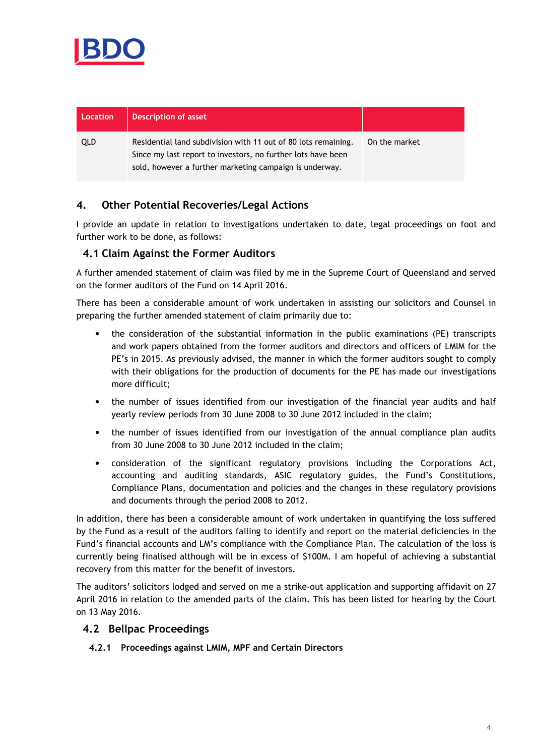

| Location | <b>Description of asset</b>                                                                                                                                                               |               |
|----------|-------------------------------------------------------------------------------------------------------------------------------------------------------------------------------------------|---------------|
| QLD      | Residential land subdivision with 11 out of 80 lots remaining.<br>Since my last report to investors, no further lots have been<br>sold, however a further marketing campaign is underway. | On the market |

# 4. Other Potential Recoveries/Legal Actions

I provide an update in relation to investigations undertaken to date, legal proceedings on foot and further work to be done, as follows:

## 4.1 Claim Against the Former Auditors

A further amended statement of claim was filed by me in the Supreme Court of Queensland and served on the former auditors of the Fund on 14 April 2016.

There has been a considerable amount of work undertaken in assisting our solicitors and Counsel in preparing the further amended statement of claim primarily due to:

- the consideration of the substantial information in the public examinations (PE) transcripts and work papers obtained from the former auditors and directors and officers of LMIM for the PE's in 2015. As previously advised, the manner in which the former auditors sought to comply with their obligations for the production of documents for the PE has made our investigations more difficult;
- the number of issues identified from our investigation of the financial year audits and half yearly review periods from 30 June 2008 to 30 June 2012 included in the claim;
- the number of issues identified from our investigation of the annual compliance plan audits from 30 June 2008 to 30 June 2012 included in the claim;
- consideration of the significant regulatory provisions including the Corporations Act, accounting and auditing standards, ASIC regulatory guides, the Fund's Constitutions, Compliance Plans, documentation and policies and the changes in these regulatory provisions and documents through the period 2008 to 2012.

In addition, there has been a considerable amount of work undertaken in quantifying the loss suffered by the Fund as a result of the auditors failing to identify and report on the material deficiencies in the Fund's financial accounts and LM's compliance with the Compliance Plan. The calculation of the loss is currently being finalised although will be in excess of \$100M. I am hopeful of achieving a substantial recovery from this matter for the benefit of investors.

The auditors' solicitors lodged and served on me a strike-out application and supporting affidavit on 27 April 2016 in relation to the amended parts of the claim. This has been listed for hearing by the Court on 13 May 2016.

## 4.2 Bellpac Proceedings

4.2.1 Proceedings against LMIM, MPF and Certain Directors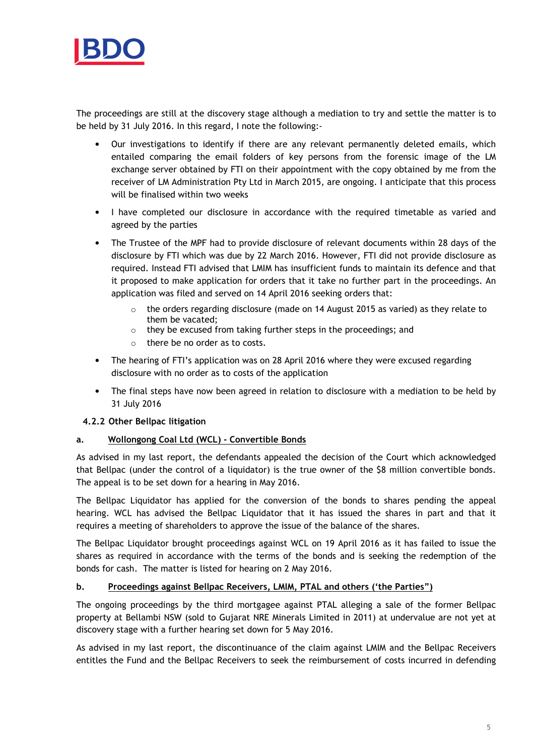

The proceedings are still at the discovery stage although a mediation to try and settle the matter is to be held by 31 July 2016. In this regard, I note the following:-

- Our investigations to identify if there are any relevant permanently deleted emails, which entailed comparing the email folders of key persons from the forensic image of the LM exchange server obtained by FTI on their appointment with the copy obtained by me from the receiver of LM Administration Pty Ltd in March 2015, are ongoing. I anticipate that this process will be finalised within two weeks
- I have completed our disclosure in accordance with the required timetable as varied and agreed by the parties
- The Trustee of the MPF had to provide disclosure of relevant documents within 28 days of the disclosure by FTI which was due by 22 March 2016. However, FTI did not provide disclosure as required. Instead FTI advised that LMIM has insufficient funds to maintain its defence and that it proposed to make application for orders that it take no further part in the proceedings. An application was filed and served on 14 April 2016 seeking orders that:
	- $\circ$  the orders regarding disclosure (made on 14 August 2015 as varied) as they relate to them be vacated;
	- o they be excused from taking further steps in the proceedings; and
	- o there be no order as to costs.
- The hearing of FTI's application was on 28 April 2016 where they were excused regarding disclosure with no order as to costs of the application
- The final steps have now been agreed in relation to disclosure with a mediation to be held by 31 July 2016

## 4.2.2 Other Bellpac litigation

## a. Wollongong Coal Ltd (WCL) - Convertible Bonds

As advised in my last report, the defendants appealed the decision of the Court which acknowledged that Bellpac (under the control of a liquidator) is the true owner of the \$8 million convertible bonds. The appeal is to be set down for a hearing in May 2016.

The Bellpac Liquidator has applied for the conversion of the bonds to shares pending the appeal hearing. WCL has advised the Bellpac Liquidator that it has issued the shares in part and that it requires a meeting of shareholders to approve the issue of the balance of the shares.

The Bellpac Liquidator brought proceedings against WCL on 19 April 2016 as it has failed to issue the shares as required in accordance with the terms of the bonds and is seeking the redemption of the bonds for cash. The matter is listed for hearing on 2 May 2016.

#### b. Proceedings against Bellpac Receivers, LMIM, PTAL and others ('the Parties")

The ongoing proceedings by the third mortgagee against PTAL alleging a sale of the former Bellpac property at Bellambi NSW (sold to Gujarat NRE Minerals Limited in 2011) at undervalue are not yet at discovery stage with a further hearing set down for 5 May 2016.

As advised in my last report, the discontinuance of the claim against LMIM and the Bellpac Receivers entitles the Fund and the Bellpac Receivers to seek the reimbursement of costs incurred in defending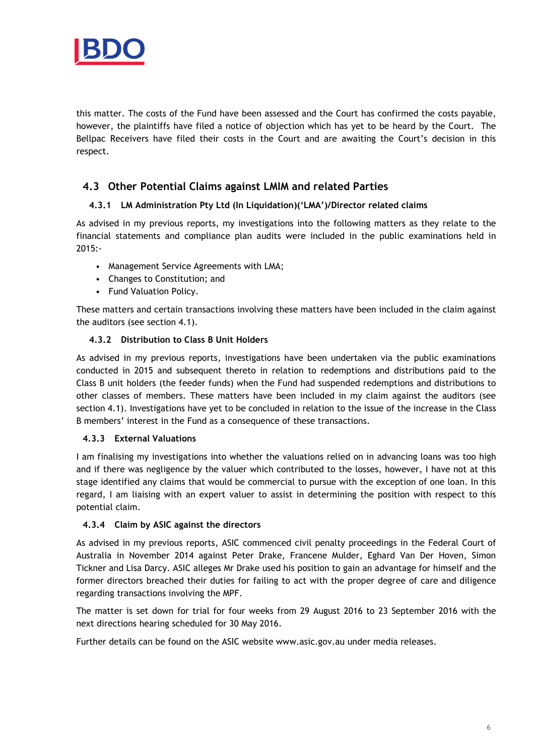

this matter. The costs of the Fund have been assessed and the Court has confirmed the costs payable, however, the plaintiffs have filed a notice of objection which has yet to be heard by the Court. The Bellpac Receivers have filed their costs in the Court and are awaiting the Court's decision in this respect.

# 4.3 Other Potential Claims against LMIM and related Parties

## 4.3.1 LM Administration Pty Ltd (In Liquidation)('LMA')/Director related claims

As advised in my previous reports, my investigations into the following matters as they relate to the financial statements and compliance plan audits were included in the public examinations held in 2015:-

- Management Service Agreements with LMA;
- Changes to Constitution; and
- Fund Valuation Policy.

These matters and certain transactions involving these matters have been included in the claim against the auditors (see section 4.1).

### 4.3.2 Distribution to Class B Unit Holders

As advised in my previous reports, investigations have been undertaken via the public examinations conducted in 2015 and subsequent thereto in relation to redemptions and distributions paid to the Class B unit holders (the feeder funds) when the Fund had suspended redemptions and distributions to other classes of members. These matters have been included in my claim against the auditors (see section 4.1). Investigations have yet to be concluded in relation to the issue of the increase in the Class B members' interest in the Fund as a consequence of these transactions.

#### 4.3.3 External Valuations

I am finalising my investigations into whether the valuations relied on in advancing loans was too high and if there was negligence by the valuer which contributed to the losses, however, I have not at this stage identified any claims that would be commercial to pursue with the exception of one loan. In this regard, I am liaising with an expert valuer to assist in determining the position with respect to this potential claim.

#### 4.3.4 Claim by ASIC against the directors

As advised in my previous reports, ASIC commenced civil penalty proceedings in the Federal Court of Australia in November 2014 against Peter Drake, Francene Mulder, Eghard Van Der Hoven, Simon Tickner and Lisa Darcy. ASIC alleges Mr Drake used his position to gain an advantage for himself and the former directors breached their duties for failing to act with the proper degree of care and diligence regarding transactions involving the MPF.

The matter is set down for trial for four weeks from 29 August 2016 to 23 September 2016 with the next directions hearing scheduled for 30 May 2016.

Further details can be found on the ASIC website www.asic.gov.au under media releases.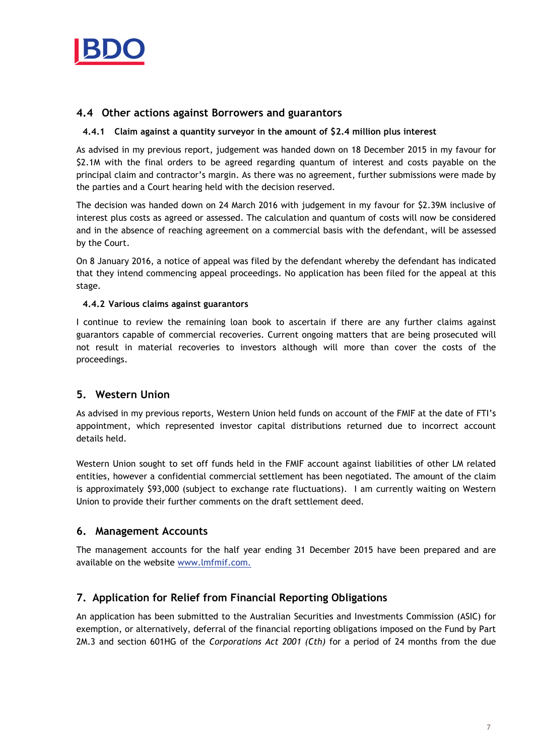

## 4.4 Other actions against Borrowers and guarantors

#### 4.4.1 Claim against a quantity surveyor in the amount of \$2.4 million plus interest

As advised in my previous report, judgement was handed down on 18 December 2015 in my favour for \$2.1M with the final orders to be agreed regarding quantum of interest and costs payable on the principal claim and contractor's margin. As there was no agreement, further submissions were made by the parties and a Court hearing held with the decision reserved.

The decision was handed down on 24 March 2016 with judgement in my favour for \$2.39M inclusive of interest plus costs as agreed or assessed. The calculation and quantum of costs will now be considered and in the absence of reaching agreement on a commercial basis with the defendant, will be assessed by the Court.

On 8 January 2016, a notice of appeal was filed by the defendant whereby the defendant has indicated that they intend commencing appeal proceedings. No application has been filed for the appeal at this stage.

### 4.4.2 Various claims against guarantors

I continue to review the remaining loan book to ascertain if there are any further claims against guarantors capable of commercial recoveries. Current ongoing matters that are being prosecuted will not result in material recoveries to investors although will more than cover the costs of the proceedings.

## 5. Western Union

As advised in my previous reports, Western Union held funds on account of the FMIF at the date of FTI's appointment, which represented investor capital distributions returned due to incorrect account details held.

Western Union sought to set off funds held in the FMIF account against liabilities of other LM related entities, however a confidential commercial settlement has been negotiated. The amount of the claim is approximately \$93,000 (subject to exchange rate fluctuations). I am currently waiting on Western Union to provide their further comments on the draft settlement deed.

## 6. Management Accounts

The management accounts for the half year ending 31 December 2015 have been prepared and are available on the website www.lmfmif.com.

# 7. Application for Relief from Financial Reporting Obligations

An application has been submitted to the Australian Securities and Investments Commission (ASIC) for exemption, or alternatively, deferral of the financial reporting obligations imposed on the Fund by Part 2M.3 and section 601HG of the Corporations Act 2001 (Cth) for a period of 24 months from the due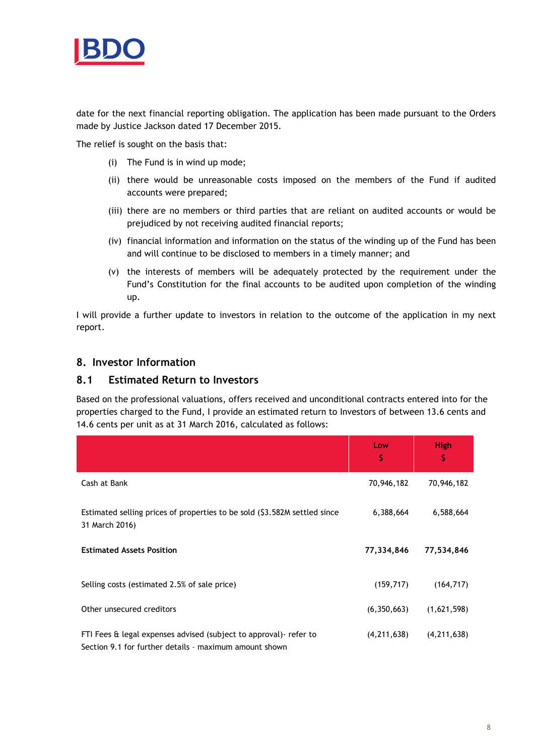

date for the next financial reporting obligation. The application has been made pursuant to the Orders made by Justice Jackson dated 17 December 2015.

The relief is sought on the basis that:

- (i) The Fund is in wind up mode;
- (ii) there would be unreasonable costs imposed on the members of the Fund if audited accounts were prepared;
- (iii) there are no members or third parties that are reliant on audited accounts or would be prejudiced by not receiving audited financial reports;
- (iv) financial information and information on the status of the winding up of the Fund has been and will continue to be disclosed to members in a timely manner; and
- (v) the interests of members will be adequately protected by the requirement under the Fund's Constitution for the final accounts to be audited upon completion of the winding up.

I will provide a further update to investors in relation to the outcome of the application in my next report.

## 8. Investor Information

## 8.1 Estimated Return to Investors

Based on the professional valuations, offers received and unconditional contracts entered into for the properties charged to the Fund, I provide an estimated return to Investors of between 13.6 cents and 14.6 cents per unit as at 31 March 2016, calculated as follows:

|                                                                                                                              | Low<br>\$     | High<br>\$    |
|------------------------------------------------------------------------------------------------------------------------------|---------------|---------------|
| Cash at Bank                                                                                                                 | 70,946,182    | 70,946,182    |
| Estimated selling prices of properties to be sold (\$3.582M settled since<br>31 March 2016)                                  | 6,388,664     | 6,588,664     |
| <b>Estimated Assets Position</b>                                                                                             | 77,334,846    | 77,534,846    |
| Selling costs (estimated 2.5% of sale price)                                                                                 | (159, 717)    | (164, 717)    |
| Other unsecured creditors                                                                                                    | (6,350,663)   | (1,621,598)   |
| FTI Fees & legal expenses advised (subject to approval) - refer to<br>Section 9.1 for further details - maximum amount shown | (4, 211, 638) | (4, 211, 638) |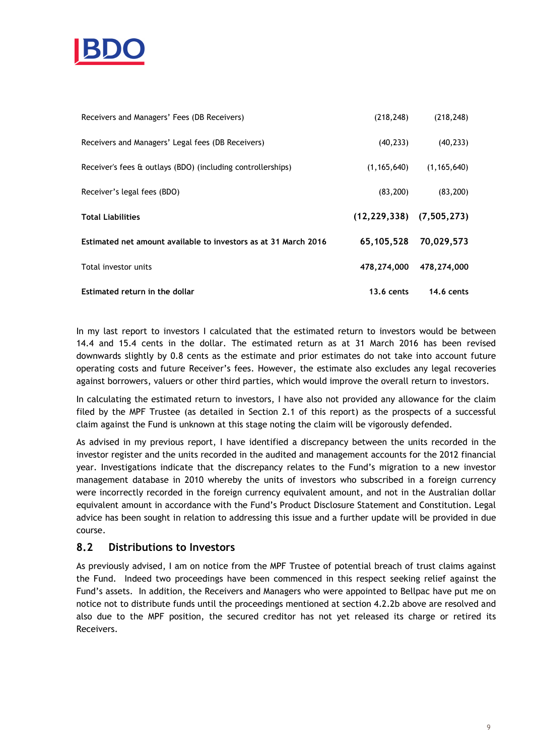

| Receivers and Managers' Fees (DB Receivers)                     | (218, 248)                       | (218, 248)    |
|-----------------------------------------------------------------|----------------------------------|---------------|
| Receivers and Managers' Legal fees (DB Receivers)               | (40, 233)                        | (40, 233)     |
| Receiver's fees & outlays (BDO) (including controllerships)     | (1, 165, 640)                    | (1, 165, 640) |
| Receiver's legal fees (BDO)                                     | (83, 200)                        | (83, 200)     |
|                                                                 |                                  |               |
| <b>Total Liabilities</b>                                        | $(12, 229, 338)$ $(7, 505, 273)$ |               |
| Estimated net amount available to investors as at 31 March 2016 | 65,105,528                       | 70,029,573    |
| Total investor units                                            | 478,274,000                      | 478,274,000   |

In my last report to investors I calculated that the estimated return to investors would be between 14.4 and 15.4 cents in the dollar. The estimated return as at 31 March 2016 has been revised downwards slightly by 0.8 cents as the estimate and prior estimates do not take into account future operating costs and future Receiver's fees. However, the estimate also excludes any legal recoveries against borrowers, valuers or other third parties, which would improve the overall return to investors.

In calculating the estimated return to investors, I have also not provided any allowance for the claim filed by the MPF Trustee (as detailed in Section 2.1 of this report) as the prospects of a successful claim against the Fund is unknown at this stage noting the claim will be vigorously defended.

As advised in my previous report, I have identified a discrepancy between the units recorded in the investor register and the units recorded in the audited and management accounts for the 2012 financial year. Investigations indicate that the discrepancy relates to the Fund's migration to a new investor management database in 2010 whereby the units of investors who subscribed in a foreign currency were incorrectly recorded in the foreign currency equivalent amount, and not in the Australian dollar equivalent amount in accordance with the Fund's Product Disclosure Statement and Constitution. Legal advice has been sought in relation to addressing this issue and a further update will be provided in due course.

# 8.2 Distributions to Investors

As previously advised, I am on notice from the MPF Trustee of potential breach of trust claims against the Fund. Indeed two proceedings have been commenced in this respect seeking relief against the Fund's assets. In addition, the Receivers and Managers who were appointed to Bellpac have put me on notice not to distribute funds until the proceedings mentioned at section 4.2.2b above are resolved and also due to the MPF position, the secured creditor has not yet released its charge or retired its Receivers.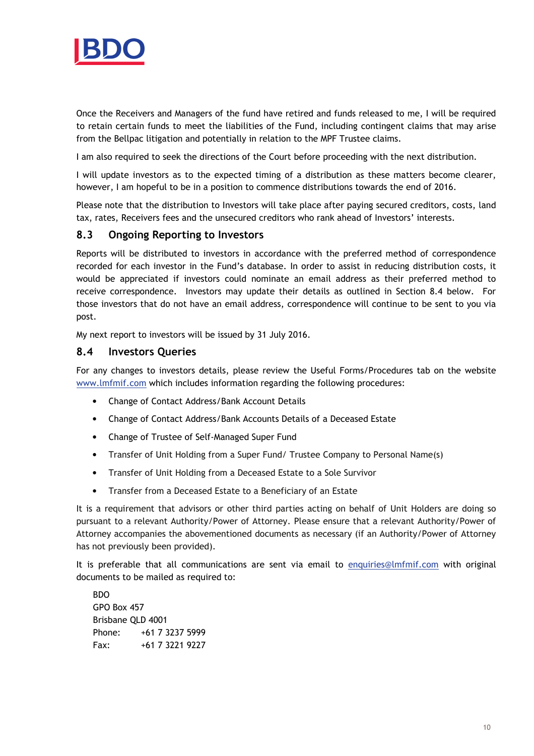

Once the Receivers and Managers of the fund have retired and funds released to me, I will be required to retain certain funds to meet the liabilities of the Fund, including contingent claims that may arise from the Bellpac litigation and potentially in relation to the MPF Trustee claims.

I am also required to seek the directions of the Court before proceeding with the next distribution.

I will update investors as to the expected timing of a distribution as these matters become clearer, however, I am hopeful to be in a position to commence distributions towards the end of 2016.

Please note that the distribution to Investors will take place after paying secured creditors, costs, land tax, rates, Receivers fees and the unsecured creditors who rank ahead of Investors' interests.

## 8.3 Ongoing Reporting to Investors

Reports will be distributed to investors in accordance with the preferred method of correspondence recorded for each investor in the Fund's database. In order to assist in reducing distribution costs, it would be appreciated if investors could nominate an email address as their preferred method to receive correspondence. Investors may update their details as outlined in Section 8.4 below. For those investors that do not have an email address, correspondence will continue to be sent to you via post.

My next report to investors will be issued by 31 July 2016.

### 8.4 Investors Queries

For any changes to investors details, please review the Useful Forms/Procedures tab on the website www.lmfmif.com which includes information regarding the following procedures:

- Change of Contact Address/Bank Account Details
- Change of Contact Address/Bank Accounts Details of a Deceased Estate
- Change of Trustee of Self-Managed Super Fund
- Transfer of Unit Holding from a Super Fund/ Trustee Company to Personal Name(s)
- Transfer of Unit Holding from a Deceased Estate to a Sole Survivor
- Transfer from a Deceased Estate to a Beneficiary of an Estate

It is a requirement that advisors or other third parties acting on behalf of Unit Holders are doing so pursuant to a relevant Authority/Power of Attorney. Please ensure that a relevant Authority/Power of Attorney accompanies the abovementioned documents as necessary (if an Authority/Power of Attorney has not previously been provided).

It is preferable that all communications are sent via email to enquiries@lmfmif.com with original documents to be mailed as required to:

BDO GPO Box 457 Brisbane QLD 4001 Phone: +61 7 3237 5999 Fax: +61 7 3221 9227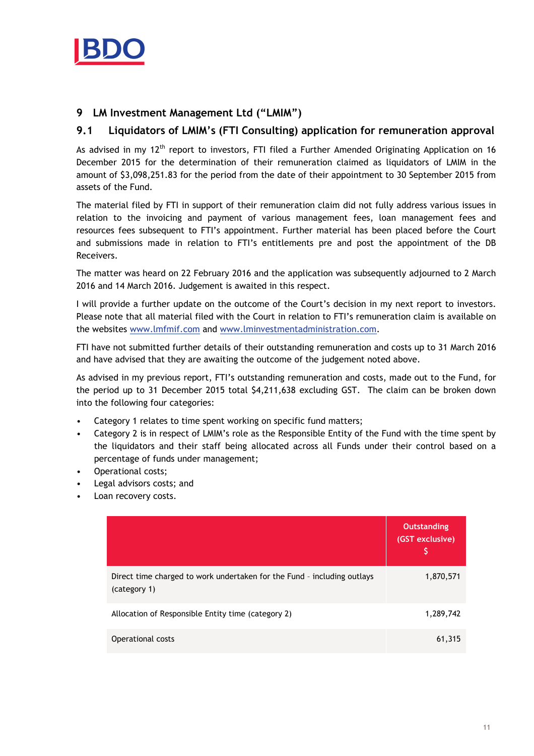

# 9 LM Investment Management Ltd ("LMIM")

# 9.1 Liquidators of LMIM's (FTI Consulting) application for remuneration approval

As advised in my 12<sup>th</sup> report to investors, FTI filed a Further Amended Originating Application on 16 December 2015 for the determination of their remuneration claimed as liquidators of LMIM in the amount of \$3,098,251.83 for the period from the date of their appointment to 30 September 2015 from assets of the Fund.

The material filed by FTI in support of their remuneration claim did not fully address various issues in relation to the invoicing and payment of various management fees, loan management fees and resources fees subsequent to FTI's appointment. Further material has been placed before the Court and submissions made in relation to FTI's entitlements pre and post the appointment of the DB Receivers.

The matter was heard on 22 February 2016 and the application was subsequently adjourned to 2 March 2016 and 14 March 2016. Judgement is awaited in this respect.

I will provide a further update on the outcome of the Court's decision in my next report to investors. Please note that all material filed with the Court in relation to FTI's remuneration claim is available on the websites www.lmfmif.com and www.lminvestmentadministration.com.

FTI have not submitted further details of their outstanding remuneration and costs up to 31 March 2016 and have advised that they are awaiting the outcome of the judgement noted above.

As advised in my previous report, FTI's outstanding remuneration and costs, made out to the Fund, for the period up to 31 December 2015 total \$4,211,638 excluding GST. The claim can be broken down into the following four categories:

- Category 1 relates to time spent working on specific fund matters;
- Category 2 is in respect of LMIM's role as the Responsible Entity of the Fund with the time spent by the liquidators and their staff being allocated across all Funds under their control based on a percentage of funds under management;
- Operational costs;
- Legal advisors costs; and
- Loan recovery costs.

|                                                                                         | <b>Outstanding</b><br>(GST exclusive) |
|-----------------------------------------------------------------------------------------|---------------------------------------|
| Direct time charged to work undertaken for the Fund - including outlays<br>(category 1) | 1,870,571                             |
| Allocation of Responsible Entity time (category 2)                                      | 1,289,742                             |
| Operational costs                                                                       | 61,315                                |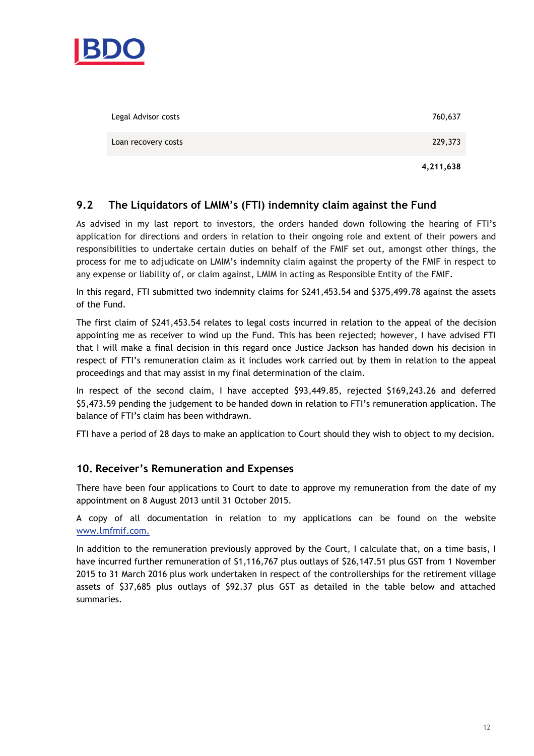

| Legal Advisor costs | 760,637   |
|---------------------|-----------|
| Loan recovery costs | 229,373   |
|                     | 4,211,638 |

# 9.2 The Liquidators of LMIM's (FTI) indemnity claim against the Fund

As advised in my last report to investors, the orders handed down following the hearing of FTI's application for directions and orders in relation to their ongoing role and extent of their powers and responsibilities to undertake certain duties on behalf of the FMIF set out, amongst other things, the process for me to adjudicate on LMIM's indemnity claim against the property of the FMIF in respect to any expense or liability of, or claim against, LMIM in acting as Responsible Entity of the FMIF.

In this regard, FTI submitted two indemnity claims for \$241,453.54 and \$375,499.78 against the assets of the Fund.

The first claim of \$241,453.54 relates to legal costs incurred in relation to the appeal of the decision appointing me as receiver to wind up the Fund. This has been rejected; however, I have advised FTI that I will make a final decision in this regard once Justice Jackson has handed down his decision in respect of FTI's remuneration claim as it includes work carried out by them in relation to the appeal proceedings and that may assist in my final determination of the claim.

In respect of the second claim, I have accepted \$93,449.85, rejected \$169,243.26 and deferred \$5,473.59 pending the judgement to be handed down in relation to FTI's remuneration application. The balance of FTI's claim has been withdrawn.

FTI have a period of 28 days to make an application to Court should they wish to object to my decision.

## 10. Receiver's Remuneration and Expenses

There have been four applications to Court to date to approve my remuneration from the date of my appointment on 8 August 2013 until 31 October 2015.

A copy of all documentation in relation to my applications can be found on the website www.lmfmif.com.

In addition to the remuneration previously approved by the Court, I calculate that, on a time basis, I have incurred further remuneration of \$1,116,767 plus outlays of \$26,147.51 plus GST from 1 November 2015 to 31 March 2016 plus work undertaken in respect of the controllerships for the retirement village assets of \$37,685 plus outlays of \$92.37 plus GST as detailed in the table below and attached summaries.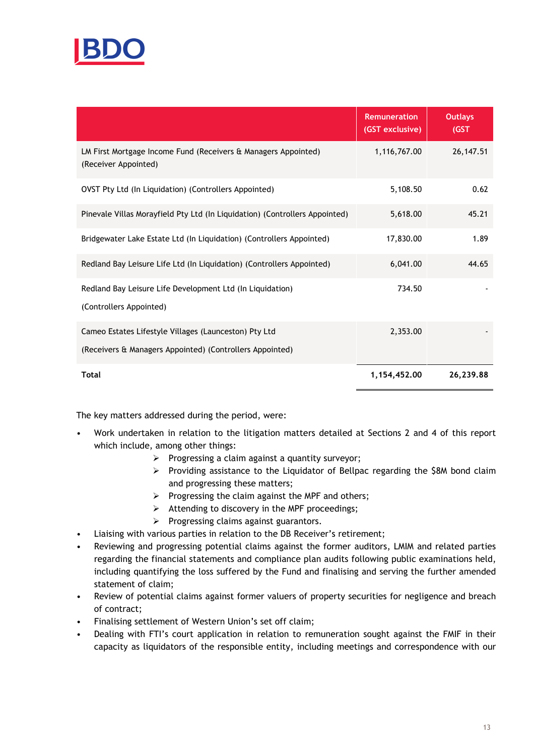

|                                                                                        | <b>Remuneration</b><br>(GST exclusive) | <b>Outlays</b><br>(GST) |
|----------------------------------------------------------------------------------------|----------------------------------------|-------------------------|
| LM First Mortgage Income Fund (Receivers & Managers Appointed)<br>(Receiver Appointed) | 1,116,767.00                           | 26, 147.51              |
| OVST Pty Ltd (In Liquidation) (Controllers Appointed)                                  | 5,108.50                               | 0.62                    |
| Pinevale Villas Morayfield Pty Ltd (In Liquidation) (Controllers Appointed)            | 5,618.00                               | 45.21                   |
| Bridgewater Lake Estate Ltd (In Liquidation) (Controllers Appointed)                   | 17,830.00                              | 1.89                    |
| Redland Bay Leisure Life Ltd (In Liquidation) (Controllers Appointed)                  | 6,041.00                               | 44.65                   |
| Redland Bay Leisure Life Development Ltd (In Liquidation)<br>(Controllers Appointed)   | 734.50                                 |                         |
| Cameo Estates Lifestyle Villages (Launceston) Pty Ltd                                  | 2.353.00                               |                         |
| (Receivers & Managers Appointed) (Controllers Appointed)                               |                                        |                         |
| Total                                                                                  | 1,154,452.00                           | 26,239.88               |

The key matters addressed during the period, were:

- Work undertaken in relation to the litigation matters detailed at Sections 2 and 4 of this report which include, among other things:
	- $\triangleright$  Progressing a claim against a quantity surveyor;
	- $\triangleright$  Providing assistance to the Liquidator of Bellpac regarding the \$8M bond claim and progressing these matters;
	- $\triangleright$  Progressing the claim against the MPF and others;
	- $\triangleright$  Attending to discovery in the MPF proceedings;
	- $\triangleright$  Progressing claims against guarantors.
- Liaising with various parties in relation to the DB Receiver's retirement;
- Reviewing and progressing potential claims against the former auditors, LMIM and related parties regarding the financial statements and compliance plan audits following public examinations held, including quantifying the loss suffered by the Fund and finalising and serving the further amended statement of claim;
- Review of potential claims against former valuers of property securities for negligence and breach of contract;
- Finalising settlement of Western Union's set off claim;
- Dealing with FTI's court application in relation to remuneration sought against the FMIF in their capacity as liquidators of the responsible entity, including meetings and correspondence with our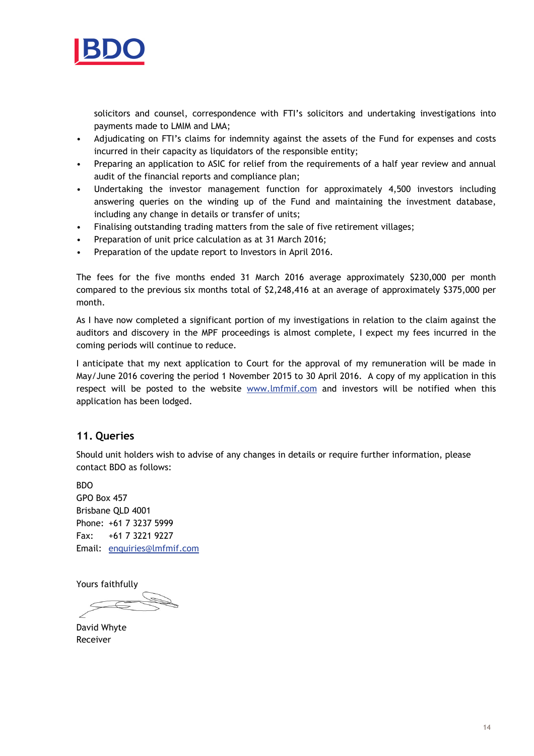

solicitors and counsel, correspondence with FTI's solicitors and undertaking investigations into payments made to LMIM and LMA;

- Adjudicating on FTI's claims for indemnity against the assets of the Fund for expenses and costs incurred in their capacity as liquidators of the responsible entity;
- Preparing an application to ASIC for relief from the requirements of a half year review and annual audit of the financial reports and compliance plan;
- Undertaking the investor management function for approximately 4,500 investors including answering queries on the winding up of the Fund and maintaining the investment database, including any change in details or transfer of units;
- Finalising outstanding trading matters from the sale of five retirement villages;
- Preparation of unit price calculation as at 31 March 2016;
- Preparation of the update report to Investors in April 2016.

The fees for the five months ended 31 March 2016 average approximately \$230,000 per month compared to the previous six months total of \$2,248,416 at an average of approximately \$375,000 per month.

As I have now completed a significant portion of my investigations in relation to the claim against the auditors and discovery in the MPF proceedings is almost complete, I expect my fees incurred in the coming periods will continue to reduce.

I anticipate that my next application to Court for the approval of my remuneration will be made in May/June 2016 covering the period 1 November 2015 to 30 April 2016. A copy of my application in this respect will be posted to the website www.lmfmif.com and investors will be notified when this application has been lodged.

# 11. Queries

Should unit holders wish to advise of any changes in details or require further information, please contact BDO as follows:

BDO GPO Box 457 Brisbane QLD 4001 Phone: +61 7 3237 5999 Fax: +61 7 3221 9227 Email: enquiries@lmfmif.com

Yours faithfully

David Whyte Receiver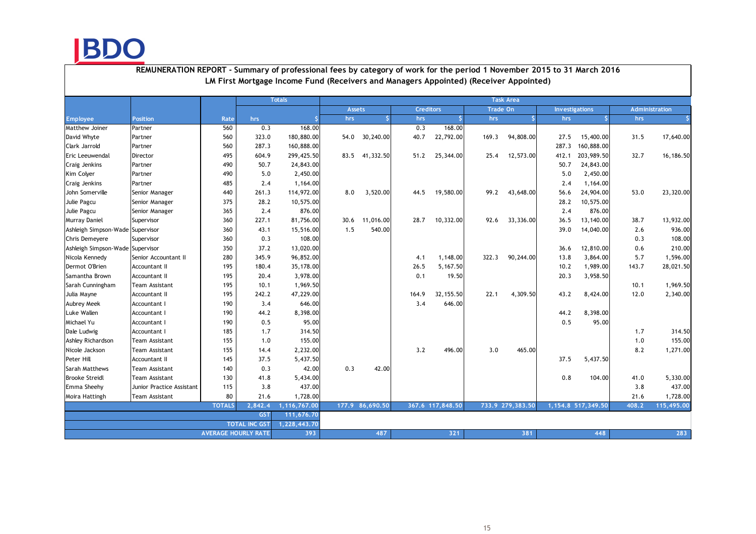BDO

|                                  |                           |                            |                      | <b>Totals</b> |               |                 |                  |                  |                 | <b>Task Area</b> |       |                       |       |                       |
|----------------------------------|---------------------------|----------------------------|----------------------|---------------|---------------|-----------------|------------------|------------------|-----------------|------------------|-------|-----------------------|-------|-----------------------|
|                                  |                           |                            |                      |               | <b>Assets</b> |                 | <b>Creditors</b> |                  | <b>Trade On</b> |                  |       | <b>Investigations</b> |       | <b>Administration</b> |
| <b>Employee</b>                  | <b>Position</b>           | Rate                       | hrs                  |               | hrs           |                 | hrs              |                  | hrs             |                  | hrs   | -S                    | hrs   |                       |
| Matthew Joiner                   | Partner                   | 560                        | 0.3                  | 168.00        |               |                 | 0.3              | 168.00           |                 |                  |       |                       |       |                       |
| David Whyte                      | Partner                   | 560                        | 323.0                | 180,880.00    |               | 54.0 30,240.00  | 40.7             | 22,792.00        | 169.3           | 94,808.00        | 27.5  | 15,400.00             | 31.5  | 17,640.00             |
| Clark Jarrold                    | Partner                   | 560                        | 287.3                | 160,888.00    |               |                 |                  |                  |                 |                  | 287.3 | 160,888.00            |       |                       |
| Eric Leeuwendal                  | Director                  | 495                        | 604.9                | 299,425.50    |               | 83.5 41,332.50  | 51.2             | 25,344.00        | 25.4            | 12,573.00        | 412.1 | 203,989.50            | 32.7  | 16,186.50             |
| Craig Jenkins                    | Partner                   | 490                        | 50.7                 | 24,843.00     |               |                 |                  |                  |                 |                  | 50.7  | 24,843.00             |       |                       |
| Kim Colyer                       | Partner                   | 490                        | 5.0                  | 2,450.00      |               |                 |                  |                  |                 |                  | 5.0   | 2,450.00              |       |                       |
| Craig Jenkins                    | Partner                   | 485                        | 2.4                  | 1,164.00      |               |                 |                  |                  |                 |                  | 2.4   | 1,164.00              |       |                       |
| John Somerville                  | Senior Manager            | 440                        | 261.3                | 114,972.00    | 8.0           | 3,520.00        | 44.5             | 19,580.00        | 99.2            | 43,648.00        | 56.6  | 24,904.00             | 53.0  | 23,320.00             |
| Julie Pagcu                      | Senior Manager            | 375                        | 28.2                 | 10,575.00     |               |                 |                  |                  |                 |                  | 28.2  | 10,575.00             |       |                       |
| Julie Pagcu                      | Senior Manager            | 365                        | 2.4                  | 876.00        |               |                 |                  |                  |                 |                  | 2.4   | 876.00                |       |                       |
| Murray Daniel                    | Supervisor                | 360                        | 227.1                | 81,756.00     | 30.6          | 11,016.00       | 28.7             | 10,332.00        | 92.6            | 33,336.00        | 36.5  | 13,140.00             | 38.7  | 13,932.00             |
| Ashleigh Simpson-Wade Supervisor |                           | 360                        | 43.1                 | 15,516.00     | 1.5           | 540.00          |                  |                  |                 |                  | 39.0  | 14,040.00             | 2.6   | 936.00                |
| Chris Demeyere                   | Supervisor                | 360                        | 0.3                  | 108.00        |               |                 |                  |                  |                 |                  |       |                       | 0.3   | 108.00                |
| Ashleigh Simpson-Wade Supervisor |                           | 350                        | 37.2                 | 13,020.00     |               |                 |                  |                  |                 |                  | 36.6  | 12,810.00             | 0.6   | 210.00                |
| Nicola Kennedy                   | Senior Accountant II      | 280                        | 345.9                | 96,852.00     |               |                 | 4.1              | 1,148.00         | 322.3           | 90,244.00        | 13.8  | 3,864.00              | 5.7   | 1,596.00              |
| Dermot O'Brien                   | Accountant II             | 195                        | 180.4                | 35,178.00     |               |                 | 26.5             | 5,167.50         |                 |                  | 10.2  | 1,989.00              | 143.7 | 28,021.50             |
| Samantha Brown                   | Accountant II             | 195                        | 20.4                 | 3,978.00      |               |                 | 0.1              | 19.50            |                 |                  | 20.3  | 3,958.50              |       |                       |
| Sarah Cunningham                 | Team Assistant            | 195                        | 10.1                 | 1,969.50      |               |                 |                  |                  |                 |                  |       |                       | 10.1  | 1,969.50              |
| Julia Mayne                      | Accountant II             | 195                        | 242.2                | 47,229.00     |               |                 | 164.9            | 32, 155.50       | 22.1            | 4,309.50         | 43.2  | 8,424.00              | 12.0  | 2,340.00              |
| Aubrey Meek                      | Accountant I              | 190                        | 3.4                  | 646.00        |               |                 | 3.4              | 646.00           |                 |                  |       |                       |       |                       |
| Luke Wallen                      | Accountant I              | 190                        | 44.2                 | 8,398.00      |               |                 |                  |                  |                 |                  | 44.2  | 8,398.00              |       |                       |
| Michael Yu                       | Accountant I              | 190                        | 0.5                  | 95.00         |               |                 |                  |                  |                 |                  | 0.5   | 95.00                 |       |                       |
| Dale Ludwig                      | Accountant I              | 185                        | 1.7                  | 314.50        |               |                 |                  |                  |                 |                  |       |                       | 1.7   | 314.50                |
| Ashley Richardson                | Team Assistant            | 155                        | 1.0                  | 155.00        |               |                 |                  |                  |                 |                  |       |                       | 1.0   | 155.00                |
| Nicole Jackson                   | Team Assistant            | 155                        | 14.4                 | 2,232.00      |               |                 | 3.2              | 496.00           | 3.0             | 465.00           |       |                       | 8.2   | 1,271.00              |
| Peter Hill                       | Accountant II             | 145                        | 37.5                 | 5,437.50      |               |                 |                  |                  |                 |                  | 37.5  | 5,437.50              |       |                       |
| Sarah Matthews                   | Team Assistant            | 140                        | 0.3                  | 42.00         | 0.3           | 42.00           |                  |                  |                 |                  |       |                       |       |                       |
| <b>Brooke Streidl</b>            | Team Assistant            | 130                        | 41.8                 | 5,434.00      |               |                 |                  |                  |                 |                  | 0.8   | 104.00                | 41.0  | 5,330.00              |
| Emma Sheehy                      | Junior Practice Assistant | 115                        | 3.8                  | 437.00        |               |                 |                  |                  |                 |                  |       |                       | 3.8   | 437.00                |
| Moira Hattingh                   | <b>Team Assistant</b>     | 80                         | 21.6                 | 1,728.00      |               |                 |                  |                  |                 |                  |       |                       | 21.6  | 1,728.00              |
|                                  |                           | <b>TOTALS</b>              | 2,842,4              | 1,116,767.00  |               | 177.9 86,690.50 |                  | 367.6 117,848.50 |                 | 733.9 279,383.50 |       | 1,154.8 517,349.50    | 408.2 | 115,495.00            |
|                                  |                           |                            | <b>GST</b>           | 111,676.70    |               |                 |                  |                  |                 |                  |       |                       |       |                       |
|                                  |                           |                            | <b>TOTAL INC GST</b> | 1,228,443.70  |               |                 |                  |                  |                 |                  |       |                       |       |                       |
|                                  |                           | <b>AVERAGE HOURLY RATE</b> |                      | 393           |               | 487             |                  | 321              |                 | 381              |       | 448                   |       | 283                   |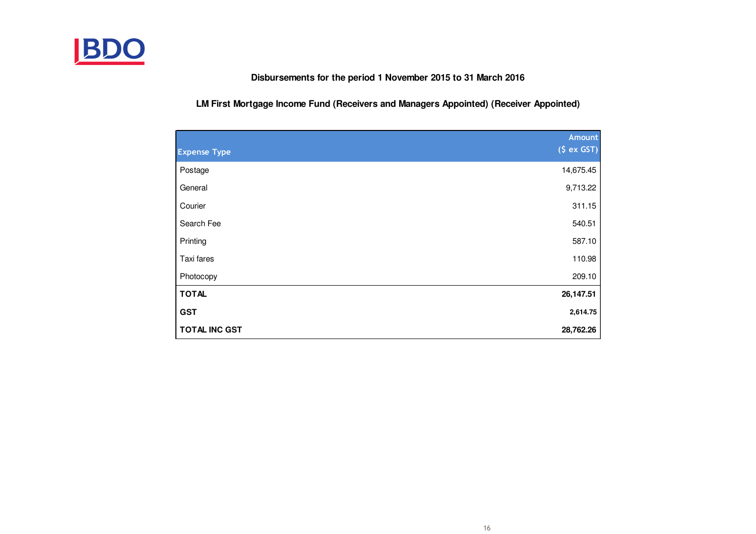

**Disbursements for the period 1 November 2015 to 31 March 2016**

**LM First Mortgage Income Fund (Receivers and Managers Appointed) (Receiver Appointed)**

|                      | <b>Amount</b> |
|----------------------|---------------|
| <b>Expense Type</b>  | (S ex GST)    |
| Postage              | 14,675.45     |
| General              | 9,713.22      |
| Courier              | 311.15        |
| Search Fee           | 540.51        |
| Printing             | 587.10        |
| Taxi fares           | 110.98        |
| Photocopy            | 209.10        |
| <b>TOTAL</b>         | 26,147.51     |
| <b>GST</b>           | 2,614.75      |
| <b>TOTAL INC GST</b> | 28,762.26     |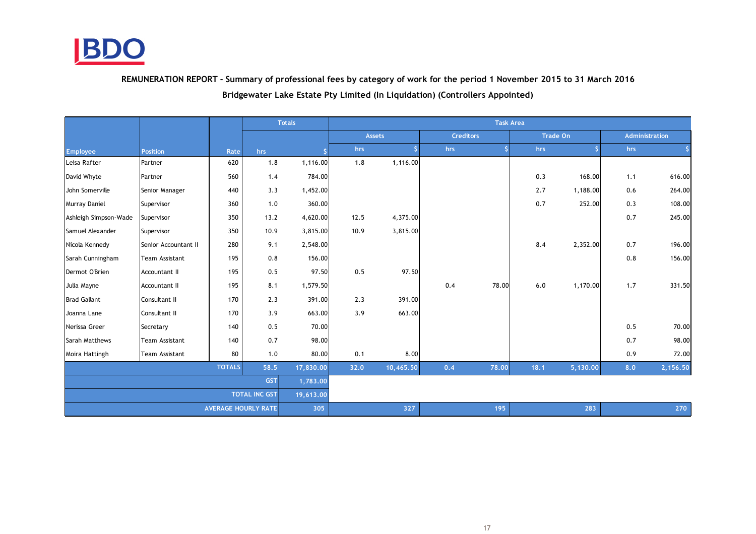

REMUNERATION REPORT - Summary of professional fees by category of work for the period 1 November 2015 to 31 March 2016

Bridgewater Lake Estate Pty Limited (In Liquidation) (Controllers Appointed)

|                        |                      |      | <b>Totals</b> |           |      | <b>Task Area</b> |                  |       |      |                 |     |                |  |  |
|------------------------|----------------------|------|---------------|-----------|------|------------------|------------------|-------|------|-----------------|-----|----------------|--|--|
|                        |                      |      |               |           |      | <b>Assets</b>    | <b>Creditors</b> |       |      | <b>Trade On</b> |     | Administration |  |  |
| <b>Employee</b>        | <b>Position</b>      | Rate | hrs           |           | hrs  | \$.              | hrs              |       | hrs  | \$              | hrs |                |  |  |
| Leisa Rafter           | Partner              | 620  | 1.8           | 1,116.00  | 1.8  | 1,116.00         |                  |       |      |                 |     |                |  |  |
| David Whyte            | Partner              | 560  | 1.4           | 784.00    |      |                  |                  |       | 0.3  | 168.00          | 1.1 | 616.00         |  |  |
| John Somerville        | Senior Manager       | 440  | 3.3           | 1,452.00  |      |                  |                  |       | 2.7  | 1,188.00        | 0.6 | 264.00         |  |  |
| Murray Daniel          | Supervisor           | 360  | 1.0           | 360.00    |      |                  |                  |       | 0.7  | 252.00          | 0.3 | 108.00         |  |  |
| Ashleigh Simpson-Wade  | Supervisor           | 350  | 13.2          | 4,620.00  | 12.5 | 4,375.00         |                  |       |      |                 | 0.7 | 245.00         |  |  |
| Samuel Alexander       | Supervisor           | 350  | 10.9          | 3,815.00  | 10.9 | 3,815.00         |                  |       |      |                 |     |                |  |  |
| Nicola Kennedy         | Senior Accountant II | 280  | 9.1           | 2,548.00  |      |                  |                  |       | 8.4  | 2,352.00        | 0.7 | 196.00         |  |  |
| Sarah Cunningham       | Team Assistant       | 195  | 0.8           | 156.00    |      |                  |                  |       |      |                 | 0.8 | 156.00         |  |  |
| Dermot O'Brien         | Accountant II        | 195  | 0.5           | 97.50     | 0.5  | 97.50            |                  |       |      |                 |     |                |  |  |
| Julia Mayne            | <b>Accountant II</b> | 195  | 8.1           | 1,579.50  |      |                  | 0.4              | 78.00 | 6.0  | 1,170.00        | 1.7 | 331.50         |  |  |
| <b>Brad Gallant</b>    | Consultant II        | 170  | 2.3           | 391.00    | 2.3  | 391.00           |                  |       |      |                 |     |                |  |  |
| Joanna Lane            | Consultant II        | 170  | 3.9           | 663.00    | 3.9  | 663.00           |                  |       |      |                 |     |                |  |  |
| Nerissa Greer          | Secretary            | 140  | 0.5           | 70.00     |      |                  |                  |       |      |                 | 0.5 | 70.00          |  |  |
| Sarah Matthews         | Team Assistant       | 140  | 0.7           | 98.00     |      |                  |                  |       |      |                 | 0.7 | 98.00          |  |  |
| Moira Hattingh         | Team Assistant       | 80   | 1.0           | 80.00     | 0.1  | 8.00             |                  |       |      |                 | 0.9 | 72.00          |  |  |
| <b>TOTALS</b><br>58.5  |                      |      |               | 17,830.00 | 32.0 | 10,465.50        | 0.4              | 78.00 | 18.1 | 5,130.00        | 8,0 | 2,156.50       |  |  |
| <b>GST</b><br>1,783.00 |                      |      |               |           |      |                  |                  |       |      |                 |     |                |  |  |
| <b>TOTAL INC GST</b>   |                      |      |               | 19,613.00 |      |                  |                  |       |      |                 |     |                |  |  |
| AVERAGE HOURLY RATE    |                      |      |               | 305       |      | 327              |                  | 195   |      | 283             |     | 270            |  |  |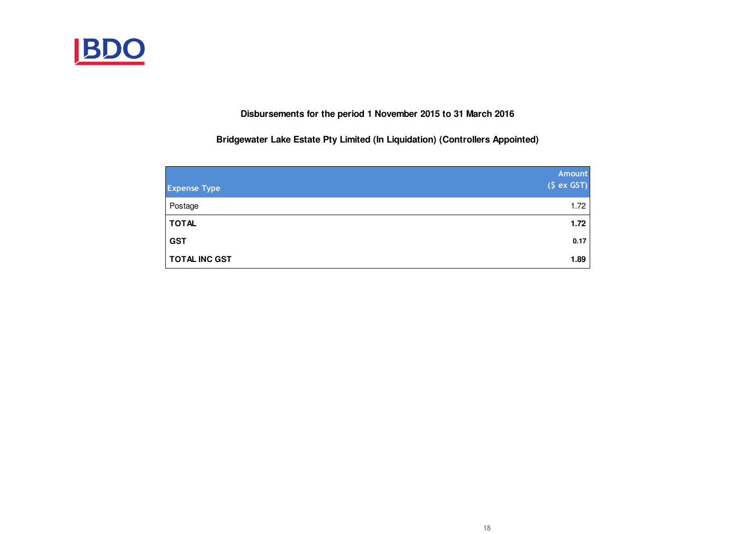

**Disbursements for the period 1 November 2015 to 31 March 2016**

**Bridgewater Lake Estate Pty Limited (In Liquidation) (Controllers Appointed)**

| <b>Expense Type</b>  | Amount<br>(S ex GST) |
|----------------------|----------------------|
|                      |                      |
| Postage              | 1.72                 |
| <b>TOTAL</b>         | 1.72                 |
| <b>GST</b>           | 0.17                 |
| <b>TOTAL INC GST</b> | 1.89                 |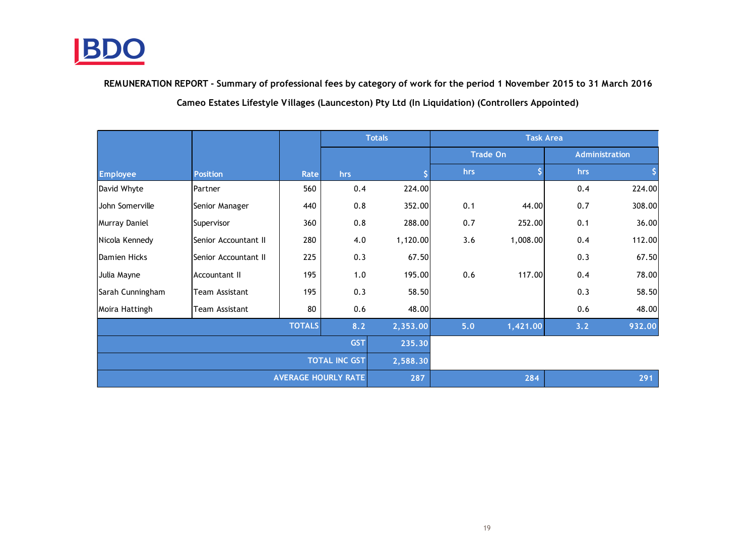

Cameo Estates Lifestyle Villages (Launceston) Pty Ltd (In Liquidation) (Controllers Appointed)REMUNERATION REPORT - Summary of professional fees by category of work for the period 1 November 2015 to 31 March 2016

|                  |                      |               |     | <b>Totals</b> | <b>Task Area</b> |                 |     |                       |  |
|------------------|----------------------|---------------|-----|---------------|------------------|-----------------|-----|-----------------------|--|
|                  |                      |               |     |               |                  | <b>Trade On</b> |     | <b>Administration</b> |  |
| <b>Employee</b>  | <b>Position</b>      | Rate          | hrs |               | hrs              |                 | hrs |                       |  |
| David Whyte      | Partner              | 560           | 0.4 | 224.00        |                  |                 | 0.4 | 224.00                |  |
| John Somerville  | Senior Manager       | 440           | 0.8 | 352.00        | 0.1              | 44.00           | 0.7 | 308.00                |  |
| Murray Daniel    | Supervisor           | 360           | 0.8 | 288.00        | 0.7              | 252.00          | 0.1 | 36.00                 |  |
| Nicola Kennedy   | Senior Accountant II | 280           | 4.0 | 1,120.00      | 3.6              | 1,008.00        | 0.4 | 112.00                |  |
| Damien Hicks     | Senior Accountant II | 225           | 0.3 | 67.50         |                  |                 | 0.3 | 67.50                 |  |
| Julia Mayne      | <b>Accountant II</b> | 195           | 1.0 | 195.00        | 0.6              | 117.00          | 0.4 | 78.00                 |  |
| Sarah Cunningham | Team Assistant       | 195           | 0.3 | 58.50         |                  |                 | 0.3 | 58.50                 |  |
| Moira Hattingh   | Team Assistant       | 80            | 0.6 | 48.00         |                  |                 | 0.6 | 48.00                 |  |
|                  |                      | <b>TOTALS</b> | 8.2 | 2,353.00      | 5.0              | 1,421.00        | 3.2 | 932.00                |  |
|                  | 235.30               |               |     |               |                  |                 |     |                       |  |
|                  | 2,588.30             |               |     |               |                  |                 |     |                       |  |
|                  | 287                  |               | 284 |               | 291              |                 |     |                       |  |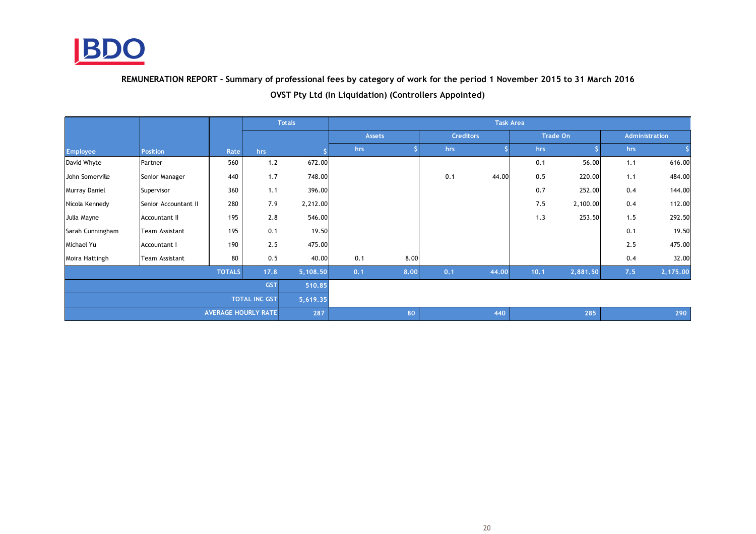

REMUNERATION REPORT - Summary of professional fees by category of work for the period 1 November 2015 to 31 March 2016

|                      |                       |                            | <b>Totals</b> |          | <b>Task Area</b> |      |                  |       |      |                 |     |                |  |
|----------------------|-----------------------|----------------------------|---------------|----------|------------------|------|------------------|-------|------|-----------------|-----|----------------|--|
|                      |                       |                            |               |          | Assets           |      | <b>Creditors</b> |       |      | <b>Trade On</b> |     | Administration |  |
| <b>Employee</b>      | <b>Position</b>       | Rate                       | hrs           |          | hrs              |      | hrs              |       | hrs  |                 | hrs |                |  |
| David Whyte          | Partner               | 560                        | 1.2           | 672.00   |                  |      |                  |       | 0.1  | 56.00           | 1.1 | 616.00         |  |
| John Somerville      | Senior Manager        | 440                        | 1.7           | 748.00   |                  |      | 0.1              | 44.00 | 0.5  | 220.00          | 1.1 | 484.00         |  |
| Murray Daniel        | Supervisor            | 360                        | 1.1           | 396.00   |                  |      |                  |       | 0.7  | 252.00          | 0.4 | 144.00         |  |
| Nicola Kennedy       | Senior Accountant II  | 280                        | 7.9           | 2,212.00 |                  |      |                  |       | 7.5  | 2,100.00        | 0.4 | 112.00         |  |
| Julia Mayne          | Accountant II         | 195                        | 2.8           | 546.00   |                  |      |                  |       | 1.3  | 253.50          | 1.5 | 292.50         |  |
| Sarah Cunningham     | Team Assistant        | 195                        | 0.1           | 19.50    |                  |      |                  |       |      |                 | 0.1 | 19.50          |  |
| Michael Yu           | Accountant I          | 190                        | 2.5           | 475.00   |                  |      |                  |       |      |                 | 2.5 | 475.00         |  |
| Moira Hattingh       | <b>Team Assistant</b> | 80                         | 0.5           | 40.00    | 0.1              | 8.00 |                  |       |      |                 | 0.4 | 32.00          |  |
|                      |                       | <b>TOTALS</b>              | 17.8          | 5,108.50 | 0.1              | 8.00 | 0.1              | 44.00 | 10.1 | 2,881.50        | 7.5 | 2,175.00       |  |
| <b>GST</b>           |                       |                            |               | 510.85   |                  |      |                  |       |      |                 |     |                |  |
| <b>TOTAL INC GST</b> |                       |                            |               | 5,619.35 |                  |      |                  |       |      |                 |     |                |  |
|                      |                       | <b>AVERAGE HOURLY RATE</b> |               |          |                  | 80   |                  | 440   |      | 285             |     | 290            |  |

OVST Pty Ltd (In Liquidation) (Controllers Appointed)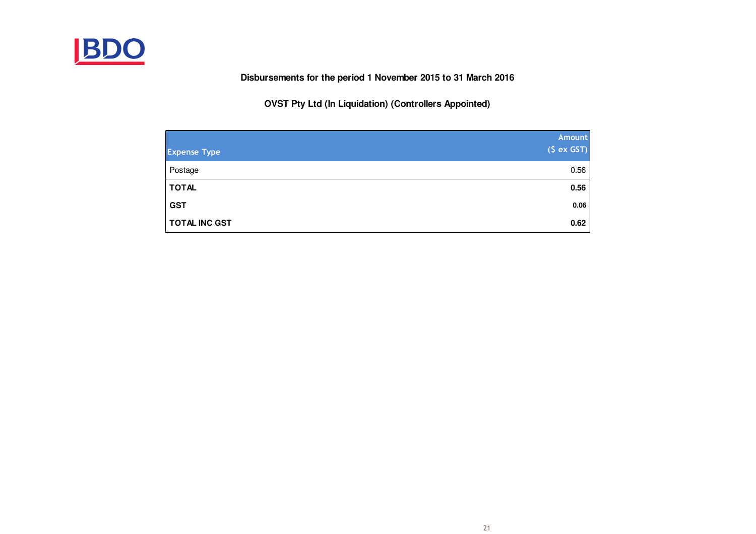

**Disbursements for the period 1 November 2015 to 31 March 2016**

**OVST Pty Ltd (In Liquidation) (Controllers Appointed)**

| <b>Expense Type</b>  | Amount<br>(S ex GST) |
|----------------------|----------------------|
| Postage              | 0.56                 |
| <b>TOTAL</b>         | 0.56                 |
| <b>GST</b>           | 0.06                 |
| <b>TOTAL INC GST</b> | 0.62                 |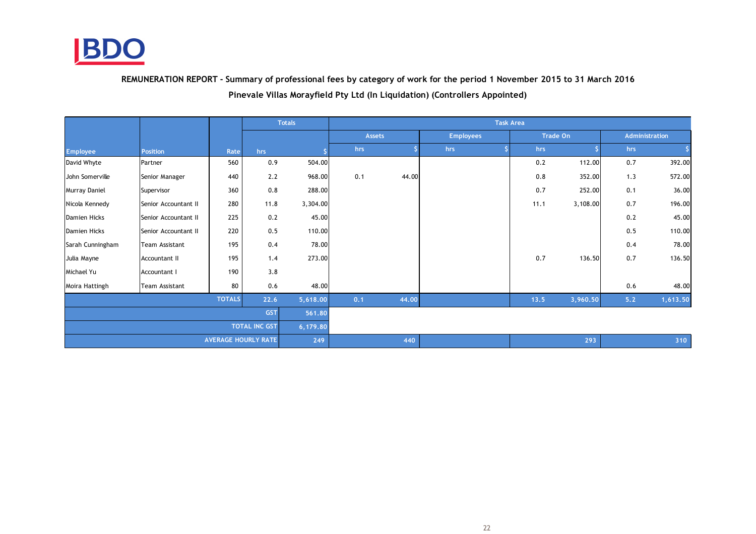

REMUNERATION REPORT - Summary of professional fees by category of work for the period 1 November 2015 to 31 March 2016

Pinevale Villas Morayfield Pty Ltd (In Liquidation) (Controllers Appointed)

|                            |                       |      |          | <b>Totals</b> | <b>Task Area</b> |       |                  |      |          |     |                |  |
|----------------------------|-----------------------|------|----------|---------------|------------------|-------|------------------|------|----------|-----|----------------|--|
|                            |                       |      |          |               | <b>Assets</b>    |       | <b>Employees</b> |      | Trade On |     | Administration |  |
| <b>Employee</b>            | <b>Position</b>       | Rate | hrs      |               | hrs              |       | hrs              | hrs  |          | hrs |                |  |
| David Whyte                | Partner               | 560  | 0.9      | 504.00        |                  |       |                  | 0.2  | 112.00   | 0.7 | 392.00         |  |
| John Somerville            | Senior Manager        | 440  | 2.2      | 968.00        | 0.1              | 44.00 |                  | 0.8  | 352.00   | 1.3 | 572.00         |  |
| Murray Daniel              | Supervisor            | 360  | 0.8      | 288.00        |                  |       |                  | 0.7  | 252.00   | 0.1 | 36.00          |  |
| Nicola Kennedy             | Senior Accountant II  | 280  | 11.8     | 3,304.00      |                  |       |                  | 11.1 | 3,108.00 | 0.7 | 196.00         |  |
| Damien Hicks               | Senior Accountant II  | 225  | 0.2      | 45.00         |                  |       |                  |      |          | 0.2 | 45.00          |  |
| Damien Hicks               | Senior Accountant II  | 220  | 0.5      | 110.00        |                  |       |                  |      |          | 0.5 | 110.00         |  |
| Sarah Cunningham           | <b>Team Assistant</b> | 195  | 0.4      | 78.00         |                  |       |                  |      |          | 0.4 | 78.00          |  |
| Julia Mayne                | Accountant II         | 195  | 1.4      | 273.00        |                  |       |                  | 0.7  | 136.50   | 0.7 | 136.50         |  |
| Michael Yu                 | Accountant I          | 190  | 3.8      |               |                  |       |                  |      |          |     |                |  |
| Moira Hattingh             | Team Assistant        | 80   | 0.6      | 48.00         |                  |       |                  |      |          | 0.6 | 48.00          |  |
| <b>TOTALS</b>              |                       |      | 22.6     | 5,618.00      | 0.1              | 44.00 |                  | 13.5 | 3,960.50 | 5.2 | 1,613.50       |  |
| <b>GST</b>                 |                       |      | 561.80   |               |                  |       |                  |      |          |     |                |  |
| <b>TOTAL INC GST</b>       |                       |      | 6,179.80 |               |                  |       |                  |      |          |     |                |  |
| <b>AVERAGE HOURLY RATE</b> |                       |      | 249      |               | 440              |       |                  | 293  |          | 310 |                |  |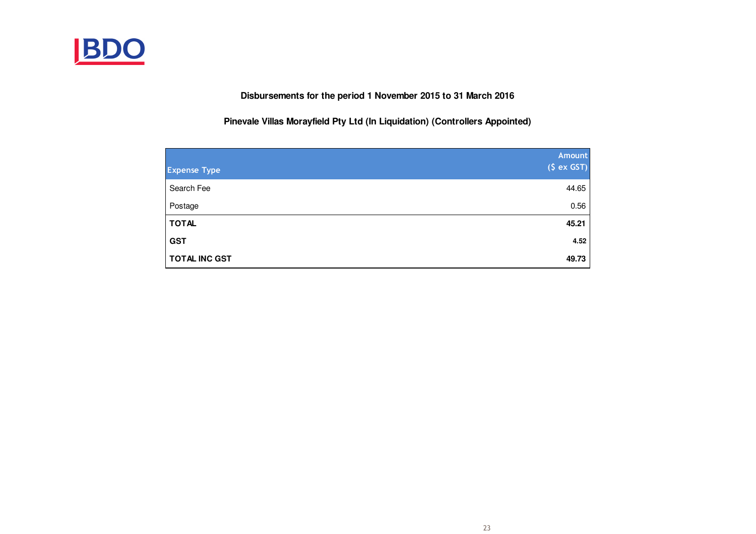

**Disbursements for the period 1 November 2015 to 31 March 2016**

**Pinevale Villas Morayfield Pty Ltd (In Liquidation) (Controllers Appointed)**

| <b>Expense Type</b>  | <b>Amount</b><br>(S ex GST) |
|----------------------|-----------------------------|
| Search Fee           | 44.65                       |
| Postage              | 0.56                        |
| <b>TOTAL</b>         | 45.21                       |
| <b>GST</b>           | 4.52                        |
| <b>TOTAL INC GST</b> | 49.73                       |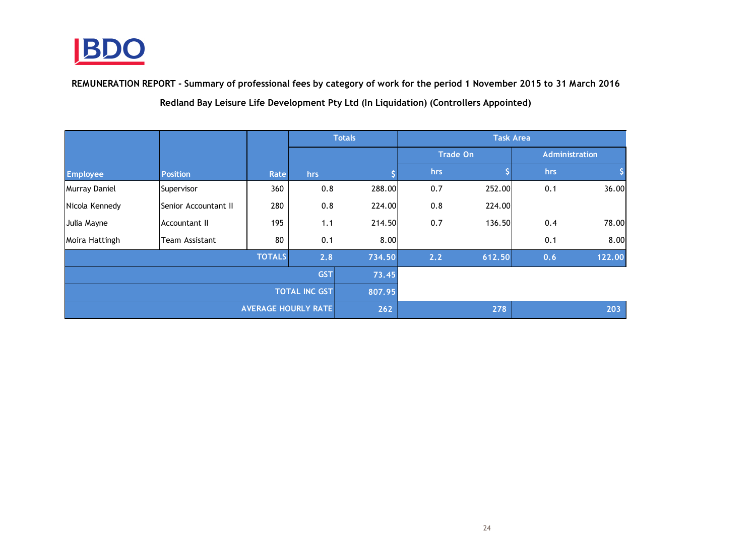

REMUNERATION REPORT - Summary of professional fees by category of work for the period 1 November 2015 to 31 March 2016

Redland Bay Leisure Life Development Pty Ltd (In Liquidation) (Controllers Appointed)

|                            |                      |      |        | <b>Totals</b> | <b>Task Area</b> |        |     |                |  |  |
|----------------------------|----------------------|------|--------|---------------|------------------|--------|-----|----------------|--|--|
|                            |                      |      |        |               | <b>Trade On</b>  |        |     | Administration |  |  |
| <b>Employee</b>            | <b>Position</b>      | Rate | hrs    |               | hrs              |        | hrs |                |  |  |
| Murray Daniel              | Supervisor           | 360  | 0.8    | 288.00        | 0.7              | 252.00 | 0.1 | 36.00          |  |  |
| Nicola Kennedy             | Senior Accountant II | 280  | 0.8    | 224.00        | 0.8              | 224.00 |     |                |  |  |
| Julia Mayne                | Accountant II        | 195  | 1.1    | 214.50        | 0.7              | 136.50 | 0.4 | 78.00          |  |  |
| Moira Hattingh             | Team Assistant       | 80   | 0.1    | 8.00          |                  |        | 0.1 | 8.00           |  |  |
|                            | 734.50               | 2.2  | 612.50 | 0.6           | 122.00           |        |     |                |  |  |
|                            | 73.45                |      |        |               |                  |        |     |                |  |  |
| <b>TOTAL INC GST</b>       |                      |      | 807.95 |               |                  |        |     |                |  |  |
| <b>AVERAGE HOURLY RATE</b> |                      |      |        | 262           |                  | 278    |     | 203            |  |  |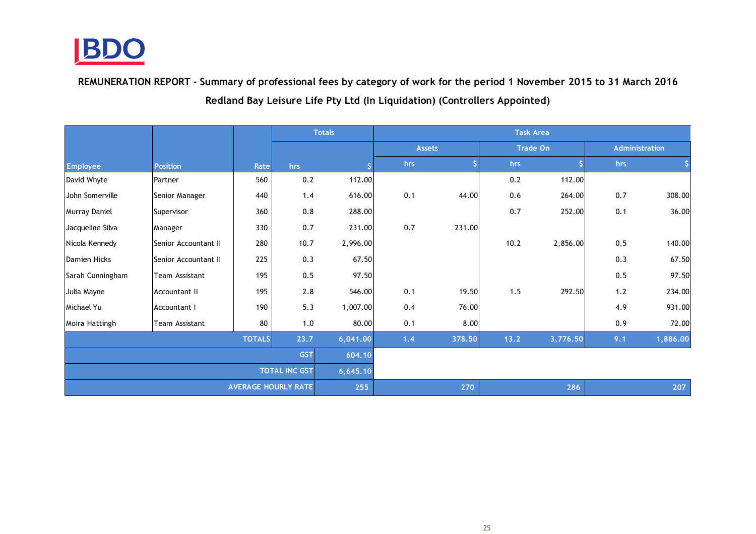

Redland Bay Leisure Life Pty Ltd (In Liquidation) (Controllers Appointed)REMUNERATION REPORT - Summary of professional fees by category of work for the period 1 November 2015 to 31 March 2016

|                            |                      |      |          | <b>Totals</b> | <b>Task Area</b> |        |                 |          |                |        |  |
|----------------------------|----------------------|------|----------|---------------|------------------|--------|-----------------|----------|----------------|--------|--|
|                            |                      |      |          |               | <b>Assets</b>    |        | <b>Trade On</b> |          | Administration |        |  |
| <b>Employee</b>            | <b>Position</b>      | Rate | hrs      |               | hrs              |        | hrs             |          | hrs            |        |  |
| David Whyte                | Partner              | 560  | 0.2      | 112.00        |                  |        | 0.2             | 112.00   |                |        |  |
| Uohn Somerville            | Senior Manager       | 440  | 1.4      | 616.00        | 0.1              | 44.00  | 0.6             | 264.00   | 0.7            | 308.00 |  |
| Murray Daniel              | Supervisor           | 360  | 0.8      | 288.00        |                  |        | 0.7             | 252.00   | 0.1            | 36.00  |  |
| Jacqueline Silva           | Manager              | 330  | 0.7      | 231.00        | 0.7              | 231.00 |                 |          |                |        |  |
| Nicola Kennedy             | Senior Accountant II | 280  | 10.7     | 2,996.00      |                  |        | 10.2            | 2,856.00 | 0.5            | 140.00 |  |
| Damien Hicks               | Senior Accountant II | 225  | 0.3      | 67.50         |                  |        |                 |          | 0.3            | 67.50  |  |
| Sarah Cunningham           | Team Assistant       | 195  | 0.5      | 97.50         |                  |        |                 |          | 0.5            | 97.50  |  |
| Julia Mayne                | <b>Accountant II</b> | 195  | 2.8      | 546.00        | 0.1              | 19.50  | 1.5             | 292.50   | 1.2            | 234.00 |  |
| Michael Yu                 | Accountant I         | 190  | 5.3      | 1,007.00      | 0.4              | 76.00  |                 |          | 4.9            | 931.00 |  |
| Moira Hattingh             | Team Assistant       | 80   | 1.0      | 80.00         | 0.1              | 8.00   |                 |          | 0.9            | 72.00  |  |
| <b>TOTALS</b><br>23.7      |                      |      | 6,041.00 | 1.4           | 378.50           | 13.2   | 3,776.50        | 9.1      | 1,886.00       |        |  |
| <b>GST</b>                 |                      |      | 604.10   |               |                  |        |                 |          |                |        |  |
| <b>TOTAL INC GST</b>       |                      |      |          | 6,645.10      |                  |        |                 |          |                |        |  |
| <b>AVERAGE HOURLY RATE</b> |                      |      | 255      |               | 270              |        | 286             |          | 207            |        |  |